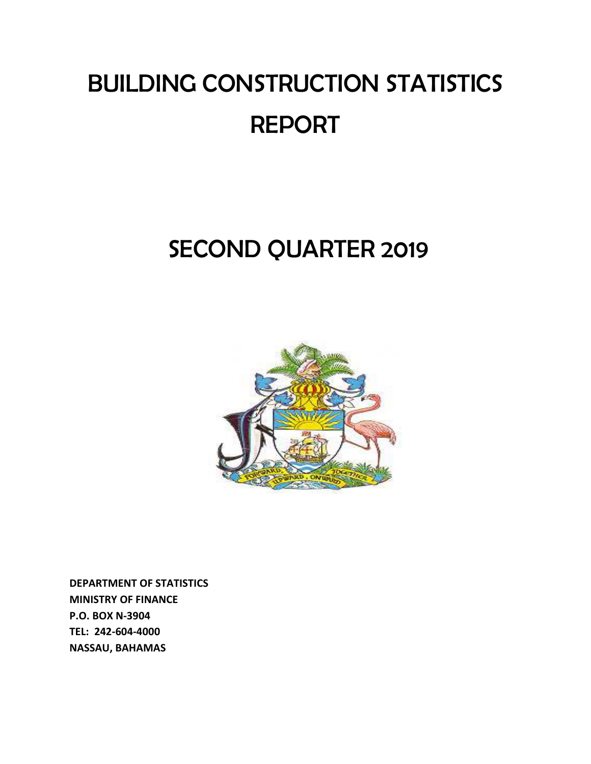# BUILDING CONSTRUCTION STATISTICS REPORT

## SECOND QUARTER 2019



**DEPARTMENT OF STATISTICS MINISTRY OF FINANCE P.O. BOX N-3904 TEL: 242-604-4000 NASSAU, BAHAMAS**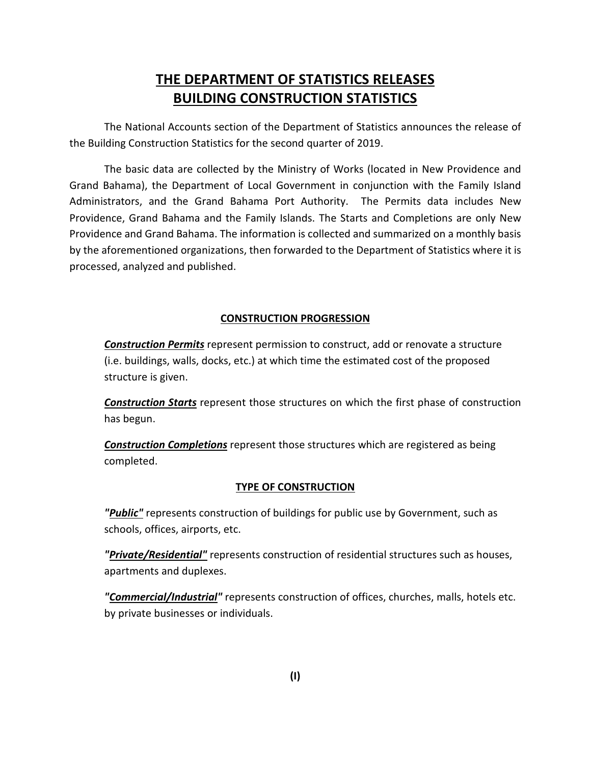### **THE DEPARTMENT OF STATISTICS RELEASES BUILDING CONSTRUCTION STATISTICS**

The National Accounts section of the Department of Statistics announces the release of the Building Construction Statistics for the second quarter of 2019.

The basic data are collected by the Ministry of Works (located in New Providence and Grand Bahama), the Department of Local Government in conjunction with the Family Island Administrators, and the Grand Bahama Port Authority. The Permits data includes New Providence, Grand Bahama and the Family Islands. The Starts and Completions are only New Providence and Grand Bahama. The information is collected and summarized on a monthly basis by the aforementioned organizations, then forwarded to the Department of Statistics where it is processed, analyzed and published.

#### **CONSTRUCTION PROGRESSION**

*Construction Permits* represent permission to construct, add or renovate a structure (i.e. buildings, walls, docks, etc.) at which time the estimated cost of the proposed structure is given.

*Construction Starts* represent those structures on which the first phase of construction has begun.

*Construction Completions* represent those structures which are registered as being completed.

#### **TYPE OF CONSTRUCTION**

*"Public"* represents construction of buildings for public use by Government, such as schools, offices, airports, etc.

*"Private/Residential"* represents construction of residential structures such as houses, apartments and duplexes.

*"Commercial/Industrial"* represents construction of offices, churches, malls, hotels etc. by private businesses or individuals.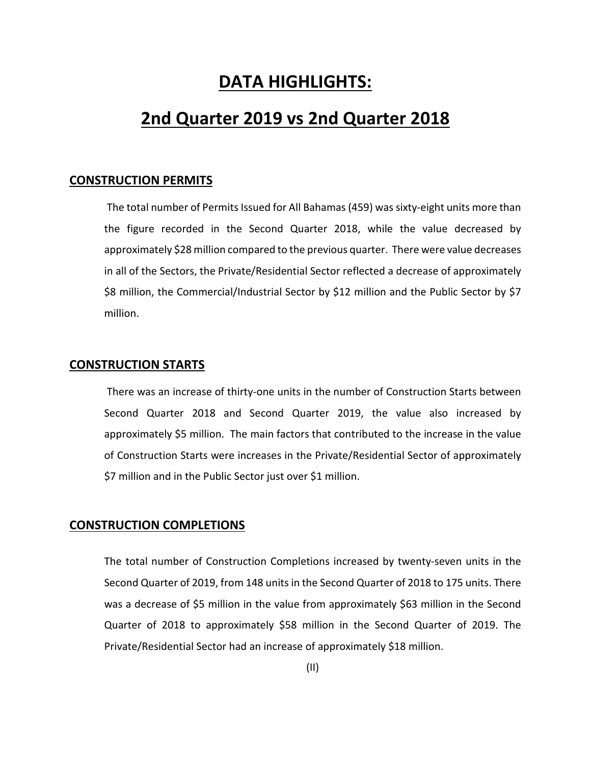## **DATA HIGHLIGHTS:**

## **2nd Quarter 2019 vs 2nd Quarter 2018**

#### **CONSTRUCTION PERMITS**

 The total number of Permits Issued for All Bahamas (459) was sixty-eight units more than the figure recorded in the Second Quarter 2018, while the value decreased by approximately \$28 million compared to the previous quarter. There were value decreases in all of the Sectors, the Private/Residential Sector reflected a decrease of approximately \$8 million, the Commercial/Industrial Sector by \$12 million and the Public Sector by \$7 million.

#### **CONSTRUCTION STARTS**

 There was an increase of thirty-one units in the number of Construction Starts between Second Quarter 2018 and Second Quarter 2019, the value also increased by approximately \$5 million. The main factors that contributed to the increase in the value of Construction Starts were increases in the Private/Residential Sector of approximately \$7 million and in the Public Sector just over \$1 million.

#### **CONSTRUCTION COMPLETIONS**

The total number of Construction Completions increased by twenty-seven units in the Second Quarter of 2019, from 148 units in the Second Quarter of 2018 to 175 units. There was a decrease of \$5 million in the value from approximately \$63 million in the Second Quarter of 2018 to approximately \$58 million in the Second Quarter of 2019. The Private/Residential Sector had an increase of approximately \$18 million.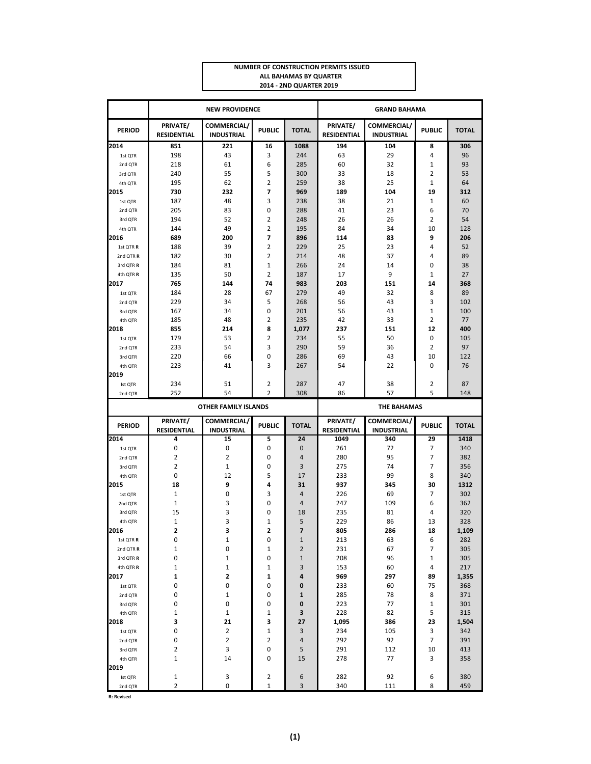| <b>NUMBER OF CONSTRUCTION PERMITS ISSUED</b> |  |
|----------------------------------------------|--|
| ALL BAHAMAS BY QUARTER                       |  |
| 2014 - 2ND QUARTER 2019                      |  |

|                      |                                | <b>NEW PROVIDENCE</b>            |                               | <b>GRAND BAHAMA</b>     |                                |                                  |                |              |
|----------------------|--------------------------------|----------------------------------|-------------------------------|-------------------------|--------------------------------|----------------------------------|----------------|--------------|
| <b>PERIOD</b>        | PRIVATE/<br><b>RESIDENTIAL</b> | COMMERCIAL/<br><b>INDUSTRIAL</b> | <b>PUBLIC</b>                 | <b>TOTAL</b>            | PRIVATE/<br><b>RESIDENTIAL</b> | COMMERCIAL/<br><b>INDUSTRIAL</b> | <b>PUBLIC</b>  | <b>TOTAL</b> |
| 2014                 | 851                            | 221                              | 16                            | 1088                    | 194                            | 104                              | 8              | 306          |
| 1st QTR              | 198                            | 43                               | 3                             | 244                     | 63                             | 29                               | 4              | 96           |
| 2nd QTR              | 218                            | 61                               | 6                             | 285                     | 60                             | 32                               | $\mathbf{1}$   | 93           |
| 3rd QTR              | 240                            | 55                               | 5                             | 300                     | 33                             | 18                               | $\overline{2}$ | 53           |
| 4th QTR              | 195                            | 62                               | $\overline{2}$                | 259                     | 38                             | 25                               | $\mathbf{1}$   | 64           |
| 2015                 | 730                            | 232                              | 7                             | 969                     | 189                            | 104                              | 19             | 312          |
| 1st QTR              | 187                            | 48                               | 3                             | 238                     | 38                             | 21                               | $\mathbf{1}$   | 60           |
| 2nd QTR              | 205                            | 83                               | 0                             | 288                     | 41                             | 23                               | 6              | 70           |
| 3rd QTR              | 194                            | 52                               | $\overline{\mathbf{c}}$       | 248                     | 26                             | 26                               | 2              | 54           |
| 4th QTR              | 144<br>689                     | 49<br>200                        | $\overline{2}$<br>7           | 195<br>896              | 84<br>114                      | 34<br>83                         | 10<br>9        | 128<br>206   |
| 2016<br>1st QTR R    | 188                            | 39                               | $\overline{2}$                | 229                     | 25                             | 23                               | 4              | 52           |
| 2nd QTR R            | 182                            | 30                               | $\overline{2}$                | 214                     | 48                             | 37                               | 4              | 89           |
| 3rd QTR R            | 184                            | 81                               | $\mathbf 1$                   | 266                     | 24                             | 14                               | 0              | 38           |
| 4th QTR R            | 135                            | 50                               | $\overline{2}$                | 187                     | 17                             | 9                                | $\mathbf{1}$   | 27           |
| 2017                 | 765                            | 144                              | 74                            | 983                     | 203                            | 151                              | 14             | 368          |
| 1st QTR              | 184                            | 28                               | 67                            | 279                     | 49                             | 32                               | 8              | 89           |
| 2nd QTR              | 229                            | 34                               | 5                             | 268                     | 56                             | 43                               | 3              | 102          |
| 3rd QTR              | 167                            | 34                               | 0                             | 201                     | 56                             | 43                               | $\mathbf{1}$   | 100          |
| 4th OTR              | 185                            | 48                               | $\overline{2}$                | 235                     | 42                             | 33                               | $\overline{2}$ | 77           |
| 2018                 | 855                            | 214                              | 8                             | 1,077                   | 237                            | 151                              | 12             | 400          |
| 1st QTR              | 179                            | 53                               | $\overline{2}$                | 234                     | 55                             | 50                               | 0              | 105          |
| 2nd QTR              | 233                            | 54                               | 3                             | 290                     | 59                             | 36                               | $\overline{2}$ | 97           |
| 3rd QTR              | 220                            | 66                               | 0                             | 286                     | 69                             | 43                               | 10             | 122          |
| 4th QTR              | 223                            | 41                               | 3                             | 267                     | 54                             | 22                               | 0              | 76           |
| 2019                 |                                |                                  |                               |                         |                                |                                  |                |              |
| Ist QTR              | 234                            | 51                               | $\overline{\mathbf{c}}$       | 287                     | 47                             | 38                               | 2              | 87           |
|                      |                                |                                  |                               |                         |                                |                                  |                |              |
| 2nd QTR              | 252                            | 54                               | $\overline{2}$                | 308                     | 86                             | 57                               | 5              | 148          |
|                      |                                | <b>OTHER FAMILY ISLANDS</b>      |                               |                         |                                | <b>THE BAHAMAS</b>               |                |              |
| <b>PERIOD</b>        | PRIVATE/<br><b>RESIDENTIAL</b> | COMMERCIAL/<br><b>INDUSTRIAL</b> | <b>PUBLIC</b>                 | <b>TOTAL</b>            | PRIVATE/<br><b>RESIDENTIAL</b> | COMMERCIAL/<br><b>INDUSTRIAL</b> | <b>PUBLIC</b>  | <b>TOTAL</b> |
| 2014                 | 4                              | 15                               | 5                             | 24                      | 1049                           | 340                              | 29             | 1418         |
| 1st QTR              | 0                              | 0                                | 0                             | $\mathbf 0$             | 261                            | 72                               | 7              | 340          |
| 2nd QTR              | $\overline{2}$                 | $\overline{2}$                   | $\mathbf 0$                   | $\overline{4}$          | 280                            | 95                               | $\overline{7}$ | 382          |
| 3rd QTR              | $\overline{2}$                 | $\mathbf{1}$                     | 0                             | 3                       | 275                            | 74                               | $\overline{7}$ | 356          |
| 4th QTR              | 0                              | 12                               | 5                             | 17                      | 233                            | 99                               | 8              | 340          |
| 2015                 | 18                             | 9                                | 4                             | 31                      | 937                            | 345                              | 30             | 1312         |
| 1st QTR              | $\mathbf{1}$                   | 0                                | 3                             | $\overline{4}$          | 226                            | 69                               | 7              | 302          |
| 2nd QTR              | $\mathbf{1}$                   | 3                                | 0                             | $\overline{4}$          | 247                            | 109                              | 6              | 362          |
| 3rd QTR<br>4th QTR   | 15                             | 3                                | 0                             | 18                      | 235                            | 81                               | 4              | 320          |
| 2016                 | $\mathbf{1}$<br>$\overline{2}$ | 3<br>3                           | $\mathbf 1$<br>$\overline{2}$ | 5<br>$\overline{7}$     | 229<br>805                     | 86<br>286                        | 13<br>18       | 328<br>1,109 |
| 1st QTR R            | 0                              | 1                                | 0                             | 1                       | 213                            | 63                               | 6              | 282          |
| 2nd QTR <sub>R</sub> | 1                              | 0                                | $\mathbf 1$                   | $\overline{\mathbf{c}}$ | 231                            | 67                               | 7              | 305          |
| 3rd QTR R            | 0                              | 1                                | 0                             | $1\,$                   | 208                            | 96                               | 1              | 305          |
| 4th QTR R            | $\mathbf{1}$                   | $\mathbf{1}$                     | $1\,$                         | 3                       | 153                            | 60                               | 4              | 217          |
| 2017                 | 1                              | 2                                | 1                             | 4                       | 969                            | 297                              | 89             | 1,355        |
| 1st QTR              | 0                              | 0                                | 0                             | 0                       | 233                            | 60                               | 75             | 368          |
| 2nd QTR              | 0                              | $\mathbf{1}$                     | 0                             | 1                       | 285                            | 78                               | 8              | 371          |
| 3rd QTR              | 0                              | 0                                | 0                             | 0                       | 223                            | 77                               | $\mathbf 1$    | 301          |
| 4th QTR              | $\mathbf 1$                    | $\mathbf{1}$                     | 1                             | 3                       | 228                            | 82                               | 5              | 315          |
| 2018                 | 3                              | 21                               | 3                             | 27                      | 1,095                          | 386                              | 23             | 1,504        |
| 1st QTR              | 0                              | $\overline{2}$                   | $\mathbf 1$                   | 3                       | 234                            | 105                              | 3              | 342          |
| 2nd QTR              | 0                              | $\overline{2}$                   | 2                             | 4                       | 292                            | 92                               | 7              | 391          |
| 3rd QTR              | $\overline{2}$                 | 3                                | 0                             | 5                       | 291                            | 112                              | 10             | 413          |
| 4th QTR              | 1                              | 14                               | 0                             | 15                      | 278                            | 77                               | 3              | 358          |
| 2019<br>Ist QTR      | 1                              | 3                                | 2                             | 6                       | 282                            | 92                               | 6              | 380          |

**R: Revised**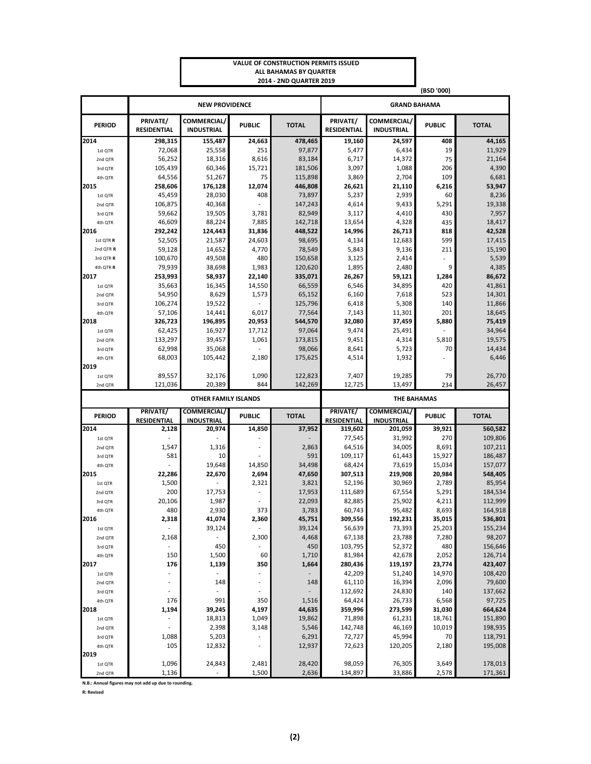|                    |                                |                                         |                          | ALL BAHAMAS BY QUARTER<br>2014 - 2ND QUARTER 2019 |                                               |                                  |                |                    |  |  |
|--------------------|--------------------------------|-----------------------------------------|--------------------------|---------------------------------------------------|-----------------------------------------------|----------------------------------|----------------|--------------------|--|--|
|                    |                                |                                         |                          |                                                   |                                               |                                  | (BSD '000)     |                    |  |  |
|                    |                                | <b>NEW PROVIDENCE</b>                   |                          |                                                   |                                               | <b>GRAND BAHAMA</b>              |                |                    |  |  |
| <b>PERIOD</b>      | PRIVATE/<br><b>RESIDENTIAL</b> | <b>COMMERCIAL/</b><br><b>INDUSTRIAL</b> | <b>PUBLIC</b>            | <b>TOTAL</b>                                      | PRIVATE/<br>RESIDENTIAL                       | COMMERCIAL/<br><b>INDUSTRIAL</b> | <b>PUBLIC</b>  | <b>TOTAL</b>       |  |  |
| 2014               | 298,315                        | 155,487                                 | 24,663                   | 478,465                                           | 19,160                                        | 24,597                           | 408            | 44,165             |  |  |
| 1st QTR            | 72,068                         | 25,558                                  | 251                      | 97,877                                            | 5,477                                         | 6,434                            | 19             | 11,929             |  |  |
| 2nd QTR            | 56,252                         | 18,316                                  | 8,616                    | 83,184                                            | 6,717                                         | 14,372                           | 75             | 21,164             |  |  |
| 3rd QTR            | 105,439                        | 60,346                                  | 15,721                   | 181,506                                           | 3,097                                         | 1,088                            | 206            | 4,390              |  |  |
| 4th QTR            | 64,556                         | 51,267                                  | 75                       | 115,898                                           | 3,869                                         | 2,704                            | 109            | 6,681              |  |  |
| 2015               | 258,606                        | 176,128                                 | 12,074                   | 446,808                                           | 26,621                                        | 21,110                           | 6,216          | 53,947             |  |  |
| 1st QTR            | 45,459                         | 28,030                                  | 408                      | 73,897                                            | 5,237                                         | 2,939                            | 60             | 8,236              |  |  |
| 2nd QTR            | 106,875                        | 40,368                                  |                          | 147,243                                           | 4,614                                         | 9,433                            | 5,291          | 19,338             |  |  |
| 3rd QTR            | 59,662                         | 19,505                                  | 3,781                    | 82,949                                            | 3,117                                         | 4,410                            | 430            | 7,957              |  |  |
| 4th QTR            | 46,609                         | 88,224                                  | 7,885                    | 142,718                                           | 13,654                                        | 4,328                            | 435            | 18,417             |  |  |
| 2016               | 292,242                        | 124,443                                 | 31,836                   | 448,522                                           | 14,996                                        | 26,713                           | 818            | 42,528             |  |  |
| 1st QTR R          | 52,505                         | 21,587                                  | 24,603                   | 98,695                                            | 4,134                                         | 12,683                           | 599            | 17,415             |  |  |
| 2nd QTR R          | 59,128                         | 14,652                                  | 4,770                    | 78,549                                            | 5,843                                         | 9,136                            | 211            | 15,190             |  |  |
| 3rd QTR R          | 100,670                        | 49,508                                  | 480                      | 150,658                                           | 3,125                                         | 2,414                            |                | 5,539              |  |  |
| 4th QTR R          | 79,939                         | 38,698                                  | 1,983                    | 120,620                                           | 1,895                                         | 2,480                            | 9              | 4,385              |  |  |
| 2017               | 253,993                        | 58,937                                  | 22,140                   | 335,071                                           | 26,267                                        | 59,121                           | 1,284          | 86,672             |  |  |
| 1st QTR            | 35,663                         | 16,345                                  | 14,550                   | 66,559                                            | 6,546                                         | 34,895                           | 420            | 41,861             |  |  |
| 2nd QTR            | 54,950<br>106,274              | 8,629<br>19,522                         | 1,573                    | 65,152<br>125,796                                 | 6,160<br>6,418                                | 7,618<br>5,308                   | 523<br>140     | 14,301<br>11,866   |  |  |
| 3rd QTR<br>4th QTR | 57,106                         | 14,441                                  | 6,017                    | 77,564                                            | 7,143                                         | 11,301                           | 201            | 18,645             |  |  |
| 2018               | 326,723                        | 196,895                                 | 20,953                   | 544,570                                           | 32,080                                        | 37,459                           | 5,880          | 75,419             |  |  |
| 1st QTR            | 62,425                         | 16,927                                  | 17,712                   | 97,064                                            | 9,474                                         | 25,491                           |                | 34,964             |  |  |
| 2nd QTR            | 133,297                        | 39,457                                  | 1,061                    | 173,815                                           | 9,451                                         | 4,314                            | 5,810          | 19,575             |  |  |
| 3rd QTR            | 62,998                         | 35,068                                  |                          | 98,066                                            | 8,641                                         | 5,723                            | 70             | 14,434             |  |  |
| 4th QTR            | 68,003                         | 105,442                                 | 2,180                    | 175,625                                           | 4,514                                         | 1,932                            |                | 6,446              |  |  |
| 2019               |                                |                                         |                          |                                                   |                                               |                                  |                |                    |  |  |
| 1st QTR            | 89,557                         | 32,176                                  | 1,090                    | 122,823                                           | 7,407                                         | 19,285                           | 79             | 26,770             |  |  |
| 2nd QTR            | 121,036                        | 20,389                                  | 844                      | 142,269                                           | 12,725                                        | 13,497                           | 234            | 26,457             |  |  |
|                    |                                | <b>OTHER FAMILY ISLANDS</b>             |                          |                                                   |                                               |                                  |                |                    |  |  |
|                    | PRIVATE/                       | COMMERCIAL/                             |                          |                                                   | <b>THE BAHAMAS</b><br>PRIVATE/<br>COMMERCIAL/ |                                  |                |                    |  |  |
| <b>PERIOD</b>      | RESIDENTIAL                    | <b>INDUSTRIAL</b>                       | <b>PUBLIC</b>            | <b>TOTAL</b>                                      | RESIDENTIAL                                   | <b>INDUSTRIAL</b>                | <b>PUBLIC</b>  | <b>TOTAL</b>       |  |  |
| 2014               | 2,128                          | 20,974                                  | 14,850                   | 37,952                                            | 319,602                                       | 201,059                          | 39,921         | 560,582            |  |  |
| 1st QTR            |                                |                                         |                          |                                                   | 77,545                                        | 31,992                           | 270            | 109,806            |  |  |
| 2nd QTR            | 1,547                          | 1,316                                   |                          | 2,863                                             | 64,516                                        | 34,005                           | 8,691          | 107,211            |  |  |
| 3rd QTR            | 581                            | 10                                      |                          | 591                                               | 109,117                                       | 61,443                           | 15,927         | 186,487            |  |  |
| 4th QTR            |                                | 19,648                                  | 14,850                   | 34,498                                            | 68,424                                        | 73,619                           | 15,034         | 157,077            |  |  |
| 2015               | 22,286                         | 22,670                                  | 2,694                    | 47,650                                            | 307,513                                       | 219,908                          | 20,984         | 548,405            |  |  |
| 1st QTR            | 1,500                          |                                         | 2,321                    | 3,821                                             | 52,196                                        | 30,969                           | 2,789          | 85,954             |  |  |
| 2nd QTR            | 200                            | 17,753                                  | ÷,                       | 17,953                                            | 111,689                                       | 67,554                           | 5,291          | 184,534            |  |  |
| 3rd QTR<br>4th QTR | 20,106<br>480                  | 1,987<br>2,930                          | 373                      | 22,093<br>3,783                                   | 82,885<br>60,743                              | 25,902<br>95,482                 | 4,211<br>8,693 | 112,999<br>164,918 |  |  |
| 2016               | 2,318                          | 41,074                                  | 2,360                    | 45,751                                            | 309,556                                       | 192,231                          | 35,015         | 536,801            |  |  |
|                    | $\overline{\phantom{a}}$       | 39,124                                  | $\overline{\phantom{a}}$ | 39,124                                            | 56,639                                        | 73,393                           | 25,203         | 155,234            |  |  |
| 1st QTR<br>2nd QTR | 2,168                          | $\overline{a}$                          | 2,300                    | 4,468                                             | 67,138                                        | 23,788                           | 7,280          | 98,207             |  |  |
| 3rd QTR            | $\overline{\phantom{a}}$       | 450                                     | ä,                       | 450                                               | 103,795                                       | 52,372                           | 480            | 156,646            |  |  |
| 4th QTR            | 150                            | 1,500                                   | 60                       | 1,710                                             | 81,984                                        | 42,678                           | 2,052          | 126,714            |  |  |
| 2017               | 176                            | 1,139                                   | 350                      | 1,664                                             | 280,436                                       | 119,197                          | 23,774         | 423,407            |  |  |
| 1st QTR            | $\frac{1}{2}$                  | $\overline{a}$                          | $\frac{1}{2}$            |                                                   | 42,209                                        | 51,240                           | 14,970         | 108,420            |  |  |
| 2nd QTR            | $\tilde{\phantom{a}}$          | 148                                     | $\overline{a}$           | 148                                               | 61,110                                        | 16,394                           | 2,096          | 79,600             |  |  |
| 3rd QTR            |                                |                                         | ÷,                       |                                                   | 112,692                                       | 24,830                           | 140            | 137,662            |  |  |
| 4th QTR            | 176                            | 991                                     | 350                      | 1,516                                             | 64,424                                        | 26,733                           | 6,568          | 97,725             |  |  |
| 2018               | 1,194                          | 39,245                                  | 4,197                    | 44,635                                            | 359,996                                       | 273,599                          | 31,030         | 664,624            |  |  |
| 1st QTR            | $\overline{\phantom{a}}$       | 18,813                                  | 1,049                    | 19,862                                            | 71,898                                        | 61,231                           | 18,761         | 151,890            |  |  |
| 2nd QTR            |                                | 2,398                                   | 3,148                    | 5,546                                             | 142,748                                       | 46,169                           | 10,019         | 198,935            |  |  |
| 3rd QTR            | 1,088                          | 5,203                                   | $\overline{\phantom{a}}$ | 6,291                                             | 72,727                                        | 45,994                           | 70             | 118,791            |  |  |
| 4th QTR            | 105                            | 12,832                                  | L,                       | 12,937                                            | 72,623                                        | 120,205                          | 2,180          | 195,008            |  |  |
| 2019               |                                |                                         |                          |                                                   |                                               |                                  |                |                    |  |  |
| 1st QTR            | 1,096                          | 24,843                                  | 2,481                    | 28,420                                            | 98,059                                        | 76,305                           | 3,649          | 178,013            |  |  |
| 2nd QTR            | 1,136                          |                                         | 1,500                    | 2,636                                             | 134,897                                       | 33,886                           | 2,578          | 171,361            |  |  |

**VALUE OF CONSTRUCTION PERMITS ISSUED**

**N.B.: Annual figures may not add up due to rounding.**

**R: Revised**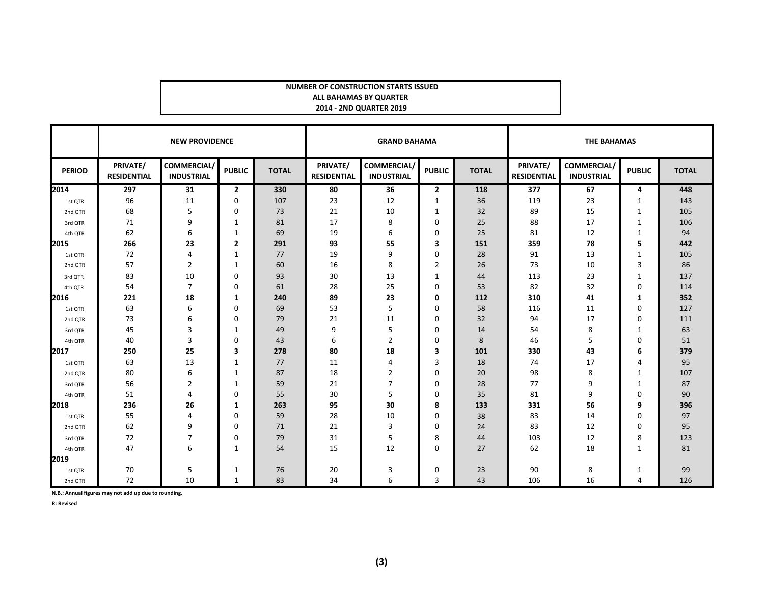#### **NUMBER OF CONSTRUCTION STARTS ISSUED**

#### **ALL BAHAMAS BY QUARTER 2014 - 2ND QUARTER 2019**

|               |                                | <b>NEW PROVIDENCE</b>            |                | <b>GRAND BAHAMA</b> |                                |                                         | <b>THE BAHAMAS</b> |              |                                |                                         |               |              |
|---------------|--------------------------------|----------------------------------|----------------|---------------------|--------------------------------|-----------------------------------------|--------------------|--------------|--------------------------------|-----------------------------------------|---------------|--------------|
| <b>PERIOD</b> | PRIVATE/<br><b>RESIDENTIAL</b> | COMMERCIAL/<br><b>INDUSTRIAL</b> | <b>PUBLIC</b>  | <b>TOTAL</b>        | PRIVATE/<br><b>RESIDENTIAL</b> | <b>COMMERCIAL/</b><br><b>INDUSTRIAL</b> | <b>PUBLIC</b>      | <b>TOTAL</b> | PRIVATE/<br><b>RESIDENTIAL</b> | <b>COMMERCIAL/</b><br><b>INDUSTRIAL</b> | <b>PUBLIC</b> | <b>TOTAL</b> |
| 2014          | 297                            | 31                               | $\overline{2}$ | 330                 | 80                             | 36                                      | $\overline{2}$     | 118          | 377                            | 67                                      | 4             | 448          |
| 1st QTR       | 96                             | 11                               | 0              | 107                 | 23                             | 12                                      | 1                  | 36           | 119                            | 23                                      | 1             | 143          |
| 2nd QTR       | 68                             | 5                                | 0              | 73                  | 21                             | 10                                      | 1                  | 32           | 89                             | 15                                      | 1             | 105          |
| 3rd QTR       | 71                             | 9                                | 1              | 81                  | 17                             | 8                                       | 0                  | 25           | 88                             | 17                                      | 1             | 106          |
| 4th QTR       | 62                             | 6                                | 1              | 69                  | 19                             | 6                                       | 0                  | 25           | 81                             | 12                                      | $\mathbf{1}$  | 94           |
| 2015          | 266                            | 23                               | $\overline{2}$ | 291                 | 93                             | 55                                      | 3                  | 151          | 359                            | 78                                      | 5             | 442          |
| 1st QTR       | 72                             | $\overline{4}$                   | 1              | 77                  | 19                             | 9                                       | 0                  | 28           | 91                             | 13                                      | 1             | 105          |
| 2nd QTR       | 57                             | $\overline{2}$                   | 1              | 60                  | 16                             | 8                                       | $\overline{2}$     | 26           | 73                             | 10                                      | 3             | 86           |
| 3rd QTR       | 83                             | 10                               | $\Omega$       | 93                  | 30                             | 13                                      | 1                  | 44           | 113                            | 23                                      | 1             | 137          |
| 4th QTR       | 54                             | $\overline{7}$                   | $\Omega$       | 61                  | 28                             | 25                                      | 0                  | 53           | 82                             | 32                                      | 0             | 114          |
| 2016          | 221                            | 18                               | 1              | 240                 | 89                             | 23                                      | 0                  | 112          | 310                            | 41                                      | 1             | 352          |
| 1st QTR       | 63                             | 6                                | 0              | 69                  | 53                             | 5                                       | $\Omega$           | 58           | 116                            | 11                                      | 0             | 127          |
| 2nd QTR       | 73                             | 6                                | 0              | 79                  | 21                             | 11                                      | 0                  | 32           | 94                             | 17                                      | 0             | 111          |
| 3rd QTR       | 45                             | 3                                | -1             | 49                  | 9                              | 5                                       | 0                  | 14           | 54                             | 8                                       | 1             | 63           |
| 4th QTR       | 40                             | 3                                | 0              | 43                  | 6                              | 2                                       | $\Omega$           | 8            | 46                             | 5                                       | 0             | 51           |
| 2017          | 250                            | 25                               | 3              | 278                 | 80                             | 18                                      | 3                  | 101          | 330                            | 43                                      | 6             | 379          |
| 1st QTR       | 63                             | 13                               | 1              | 77                  | 11                             | 4                                       | 3                  | 18           | 74                             | 17                                      | 4             | 95           |
| 2nd QTR       | 80                             | 6                                | 1              | 87                  | 18                             | $\overline{2}$                          | $\mathbf 0$        | 20           | 98                             | 8                                       | 1             | 107          |
| 3rd QTR       | 56                             | $\overline{2}$                   | 1              | 59                  | 21                             | 7                                       | $\Omega$           | 28           | 77                             | 9                                       | 1             | 87           |
| 4th QTR       | 51                             | 4                                | 0              | 55                  | 30                             | 5                                       | $\mathbf 0$        | 35           | 81                             | 9                                       | 0             | 90           |
| 2018          | 236                            | 26                               | 1              | 263                 | 95                             | 30                                      | 8                  | 133          | 331                            | 56                                      | 9             | 396          |
| 1st QTR       | 55                             | 4                                | $\Omega$       | 59                  | 28                             | 10                                      | 0                  | 38           | 83                             | 14                                      | 0             | 97           |
| 2nd QTR       | 62                             | 9                                | 0              | 71                  | 21                             | 3                                       | $\Omega$           | 24           | 83                             | 12                                      | 0             | 95           |
| 3rd QTR       | 72                             | 7                                | 0              | 79                  | 31                             | 5                                       | 8                  | 44           | 103                            | 12                                      | 8             | 123          |
| 4th QTR       | 47                             | 6                                | $\mathbf{1}$   | 54                  | 15                             | 12                                      | $\Omega$           | 27           | 62                             | 18                                      | 1             | 81           |
| 2019          |                                |                                  |                |                     |                                |                                         |                    |              |                                |                                         |               |              |
| 1st QTR       | 70                             | 5                                | 1              | 76                  | 20                             | 3                                       | 0                  | 23           | 90                             | 8                                       | 1             | 99           |
| 2nd QTR       | 72                             | 10                               | 1              | 83                  | 34                             | 6                                       | 3                  | 43           | 106                            | 16                                      | 4             | 126          |

**N.B.: Annual figures may not add up due to rounding.**

**R: Revised**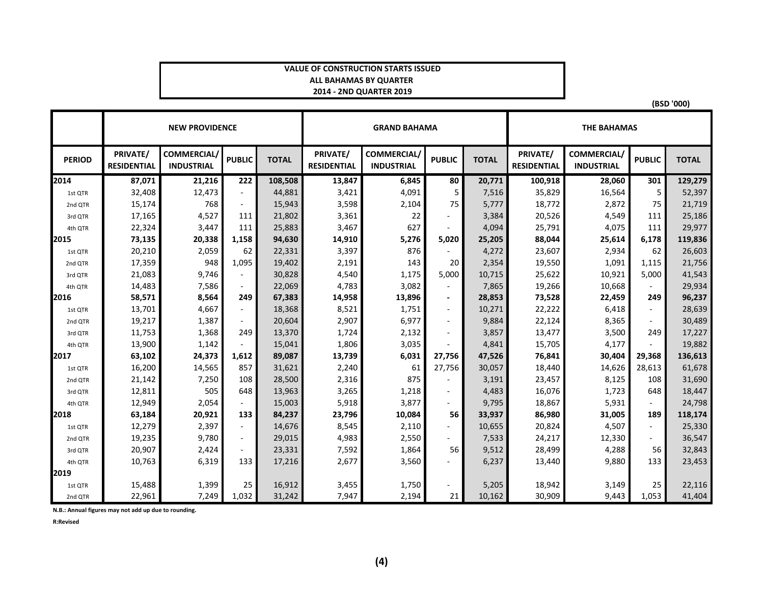#### **VALUE OF CONSTRUCTION STARTS ISSUEDALL BAHAMAS BY QUARTER 2014 - 2ND QUARTER 2019**

|               | <b>NEW PROVIDENCE</b>          |                                        |                          |              |                                | <b>GRAND BAHAMA</b>                     |                | <b>THE BAHAMAS</b> |                                |                                        |                          |              |
|---------------|--------------------------------|----------------------------------------|--------------------------|--------------|--------------------------------|-----------------------------------------|----------------|--------------------|--------------------------------|----------------------------------------|--------------------------|--------------|
| <b>PERIOD</b> | PRIVATE/<br><b>RESIDENTIAL</b> | <b>COMMERCIAL</b><br><b>INDUSTRIAL</b> | <b>PUBLIC</b>            | <b>TOTAL</b> | PRIVATE/<br><b>RESIDENTIAL</b> | <b>COMMERCIAL/</b><br><b>INDUSTRIAL</b> | <b>PUBLIC</b>  | <b>TOTAL</b>       | PRIVATE/<br><b>RESIDENTIAL</b> | <b>COMMERCIAL</b><br><b>INDUSTRIAL</b> | <b>PUBLIC</b>            | <b>TOTAL</b> |
| 2014          | 87,071                         | 21,216                                 | 222                      | 108,508      | 13,847                         | 6,845                                   | 80             | 20,771             | 100,918                        | 28,060                                 | 301                      | 129,279      |
| 1st QTR       | 32,408                         | 12,473                                 | $\sim$                   | 44,881       | 3,421                          | 4,091                                   | 5              | 7,516              | 35,829                         | 16,564                                 | 5                        | 52,397       |
| 2nd QTR       | 15,174                         | 768                                    | $\overline{\phantom{a}}$ | 15,943       | 3,598                          | 2,104                                   | 75             | 5,777              | 18,772                         | 2,872                                  | 75                       | 21,719       |
| 3rd QTR       | 17,165                         | 4,527                                  | 111                      | 21,802       | 3,361                          | 22                                      |                | 3,384              | 20,526                         | 4,549                                  | 111                      | 25,186       |
| 4th QTR       | 22,324                         | 3,447                                  | 111                      | 25,883       | 3,467                          | 627                                     |                | 4,094              | 25,791                         | 4,075                                  | 111                      | 29,977       |
| 2015          | 73,135                         | 20,338                                 | 1,158                    | 94,630       | 14,910                         | 5,276                                   | 5,020          | 25,205             | 88,044                         | 25,614                                 | 6,178                    | 119,836      |
| 1st QTR       | 20,210                         | 2,059                                  | 62                       | 22,331       | 3,397                          | 876                                     |                | 4,272              | 23,607                         | 2,934                                  | 62                       | 26,603       |
| 2nd QTR       | 17,359                         | 948                                    | 1,095                    | 19,402       | 2,191                          | 143                                     | 20             | 2,354              | 19,550                         | 1,091                                  | 1,115                    | 21,756       |
| 3rd QTR       | 21,083                         | 9,746                                  |                          | 30,828       | 4,540                          | 1,175                                   | 5,000          | 10,715             | 25,622                         | 10,921                                 | 5,000                    | 41,543       |
| 4th QTR       | 14,483                         | 7,586                                  | $\sim$                   | 22,069       | 4,783                          | 3,082                                   | $\blacksquare$ | 7,865              | 19,266                         | 10,668                                 |                          | 29,934       |
| 2016          | 58,571                         | 8,564                                  | 249                      | 67,383       | 14,958                         | 13,896                                  | $\blacksquare$ | 28,853             | 73,528                         | 22,459                                 | 249                      | 96,237       |
| 1st QTR       | 13,701                         | 4,667                                  | $\sim$                   | 18,368       | 8,521                          | 1,751                                   | $\sim$         | 10,271             | 22,222                         | 6,418                                  | $\blacksquare$           | 28,639       |
| 2nd QTR       | 19,217                         | 1,387                                  | $\sim$                   | 20,604       | 2,907                          | 6,977                                   | $\sim$         | 9,884              | 22,124                         | 8,365                                  | $\sim$                   | 30,489       |
| 3rd QTR       | 11,753                         | 1,368                                  | 249                      | 13,370       | 1,724                          | 2,132                                   | $\sim$         | 3,857              | 13,477                         | 3,500                                  | 249                      | 17,227       |
| 4th QTR       | 13,900                         | 1,142                                  | $\sim$                   | 15,041       | 1,806                          | 3,035                                   |                | 4,841              | 15,705                         | 4,177                                  |                          | 19,882       |
| 2017          | 63,102                         | 24,373                                 | 1,612                    | 89,087       | 13,739                         | 6,031                                   | 27,756         | 47,526             | 76,841                         | 30,404                                 | 29,368                   | 136,613      |
| 1st QTR       | 16,200                         | 14,565                                 | 857                      | 31,621       | 2,240                          | 61                                      | 27,756         | 30,057             | 18,440                         | 14,626                                 | 28,613                   | 61,678       |
| 2nd QTR       | 21,142                         | 7,250                                  | 108                      | 28,500       | 2,316                          | 875                                     |                | 3,191              | 23,457                         | 8,125                                  | 108                      | 31,690       |
| 3rd QTR       | 12,811                         | 505                                    | 648                      | 13,963       | 3,265                          | 1,218                                   |                | 4,483              | 16,076                         | 1,723                                  | 648                      | 18,447       |
| 4th QTR       | 12,949                         | 2,054                                  | $\sim$                   | 15,003       | 5,918                          | 3,877                                   |                | 9,795              | 18,867                         | 5,931                                  | ÷.                       | 24,798       |
| 2018          | 63,184                         | 20,921                                 | 133                      | 84,237       | 23,796                         | 10,084                                  | 56             | 33,937             | 86,980                         | 31,005                                 | 189                      | 118,174      |
| 1st QTR       | 12,279                         | 2,397                                  | $\sim$                   | 14,676       | 8,545                          | 2,110                                   |                | 10,655             | 20,824                         | 4,507                                  | ÷.                       | 25,330       |
| 2nd QTR       | 19,235                         | 9,780                                  | $\overline{\phantom{a}}$ | 29,015       | 4,983                          | 2,550                                   |                | 7,533              | 24,217                         | 12,330                                 | $\overline{\phantom{a}}$ | 36,547       |
| 3rd QTR       | 20,907                         | 2,424                                  | $\sim$                   | 23,331       | 7,592                          | 1,864                                   | 56             | 9,512              | 28,499                         | 4,288                                  | 56                       | 32,843       |
| 4th QTR       | 10,763                         | 6,319                                  | 133                      | 17,216       | 2,677                          | 3,560                                   |                | 6,237              | 13,440                         | 9,880                                  | 133                      | 23,453       |
| 2019          |                                |                                        |                          |              |                                |                                         |                |                    |                                |                                        |                          |              |
| 1st QTR       | 15,488                         | 1,399                                  | 25                       | 16,912       | 3,455                          | 1,750                                   |                | 5,205              | 18,942                         | 3,149                                  | 25                       | 22,116       |
| 2nd QTR       | 22,961                         | 7,249                                  | 1,032                    | 31,242       | 7,947                          | 2,194                                   | 21             | 10,162             | 30,909                         | 9,443                                  | 1,053                    | 41,404       |

**N.B.: Annual figures may not add up due to rounding.**

**R:Revised**

**(BSD '000)**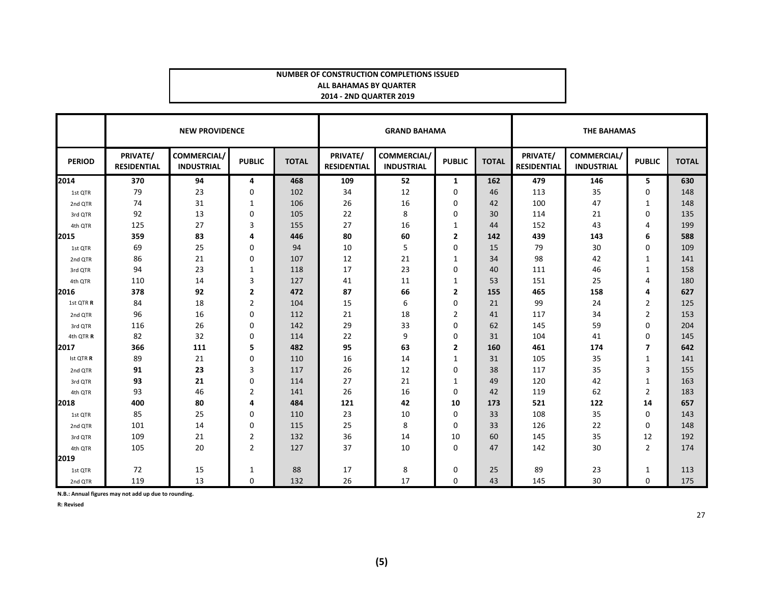#### **NUMBER OF CONSTRUCTION COMPLETIONS ISSUEDALL BAHAMAS BY QUARTER 2014 - 2ND QUARTER 2019**

|               |                                | <b>NEW PROVIDENCE</b>                   |                |              |                                | <b>GRAND BAHAMA</b>                     |                |              | <b>THE BAHAMAS</b>             |                                         |                |              |
|---------------|--------------------------------|-----------------------------------------|----------------|--------------|--------------------------------|-----------------------------------------|----------------|--------------|--------------------------------|-----------------------------------------|----------------|--------------|
| <b>PERIOD</b> | PRIVATE/<br><b>RESIDENTIAL</b> | <b>COMMERCIAL/</b><br><b>INDUSTRIAL</b> | <b>PUBLIC</b>  | <b>TOTAL</b> | PRIVATE/<br><b>RESIDENTIAL</b> | <b>COMMERCIAL/</b><br><b>INDUSTRIAL</b> | <b>PUBLIC</b>  | <b>TOTAL</b> | PRIVATE/<br><b>RESIDENTIAL</b> | <b>COMMERCIAL/</b><br><b>INDUSTRIAL</b> | <b>PUBLIC</b>  | <b>TOTAL</b> |
| 2014          | 370                            | 94                                      | 4              | 468          | 109                            | 52                                      | 1              | 162          | 479                            | 146                                     | 5              | 630          |
| 1st QTR       | 79                             | 23                                      | $\mathbf 0$    | 102          | 34                             | 12                                      | 0              | 46           | 113                            | 35                                      | 0              | 148          |
| 2nd QTR       | 74                             | 31                                      | 1              | 106          | 26                             | 16                                      | 0              | 42           | 100                            | 47                                      | 1              | 148          |
| 3rd QTR       | 92                             | 13                                      | 0              | 105          | 22                             | 8                                       | 0              | 30           | 114                            | 21                                      | $\mathbf 0$    | 135          |
| 4th QTR       | 125                            | 27                                      | 3              | 155          | 27                             | 16                                      | 1              | 44           | 152                            | 43                                      | 4              | 199          |
| 2015          | 359                            | 83                                      | 4              | 446          | 80                             | 60                                      | 2              | 142          | 439                            | 143                                     | 6              | 588          |
| 1st QTR       | 69                             | 25                                      | 0              | 94           | 10                             | 5                                       | 0              | 15           | 79                             | 30                                      | $\mathbf 0$    | 109          |
| 2nd QTR       | 86                             | 21                                      | 0              | 107          | 12                             | 21                                      | 1              | 34           | 98                             | 42                                      | 1              | 141          |
| 3rd QTR       | 94                             | 23                                      | 1              | 118          | 17                             | 23                                      | 0              | 40           | 111                            | 46                                      | 1              | 158          |
| 4th QTR       | 110                            | 14                                      | 3              | 127          | 41                             | 11                                      | 1              | 53           | 151                            | 25                                      | 4              | 180          |
| 2016          | 378                            | 92                                      | 2              | 472          | 87                             | 66                                      | $\mathbf{2}$   | 155          | 465                            | 158                                     | 4              | 627          |
| 1st QTR R     | 84                             | 18                                      | $\overline{2}$ | 104          | 15                             | 6                                       | 0              | 21           | 99                             | 24                                      | $\overline{2}$ | 125          |
| 2nd QTR       | 96                             | 16                                      | 0              | 112          | 21                             | 18                                      | 2              | 41           | 117                            | 34                                      | $\overline{2}$ | 153          |
| 3rd QTR       | 116                            | 26                                      | $\Omega$       | 142          | 29                             | 33                                      | 0              | 62           | 145                            | 59                                      | 0              | 204          |
| 4th QTR R     | 82                             | 32                                      | 0              | 114          | 22                             | 9                                       | 0              | 31           | 104                            | 41                                      | $\mathbf 0$    | 145          |
| 2017          | 366                            | 111                                     | 5              | 482          | 95                             | 63                                      | $\overline{2}$ | 160          | 461                            | 174                                     | $\overline{7}$ | 642          |
| Ist QTR R     | 89                             | 21                                      | 0              | 110          | 16                             | 14                                      | 1              | 31           | 105                            | 35                                      | 1              | 141          |
| 2nd QTR       | 91                             | 23                                      | 3              | 117          | 26                             | 12                                      | 0              | 38           | 117                            | 35                                      | 3              | 155          |
| 3rd QTR       | 93                             | 21                                      | 0              | 114          | 27                             | 21                                      | 1              | 49           | 120                            | 42                                      | $\mathbf{1}$   | 163          |
| 4th QTR       | 93                             | 46                                      | 2              | 141          | 26                             | 16                                      | 0              | 42           | 119                            | 62                                      | $\overline{2}$ | 183          |
| 2018          | 400                            | 80                                      | 4              | 484          | 121                            | 42                                      | 10             | 173          | 521                            | 122                                     | 14             | 657          |
| 1st QTR       | 85                             | 25                                      | 0              | 110          | 23                             | 10                                      | 0              | 33           | 108                            | 35                                      | 0              | 143          |
| 2nd QTR       | 101                            | 14                                      | 0              | 115          | 25                             | 8                                       | 0              | 33           | 126                            | 22                                      | 0              | 148          |
| 3rd QTR       | 109                            | 21                                      | 2              | 132          | 36                             | 14                                      | 10             | 60           | 145                            | 35                                      | 12             | 192          |
| 4th QTR       | 105                            | 20                                      | $\overline{2}$ | 127          | 37                             | 10                                      | 0              | 47           | 142                            | 30                                      | $\overline{2}$ | 174          |
| 2019          |                                |                                         |                |              |                                |                                         |                |              |                                |                                         |                |              |
| 1st QTR       | 72                             | 15                                      | 1              | 88           | 17                             | 8                                       | 0              | 25           | 89                             | 23                                      | 1              | 113          |
| 2nd QTR       | 119                            | 13                                      | $\mathbf 0$    | 132          | 26                             | 17                                      | 0              | 43           | 145                            | 30                                      | $\mathbf{0}$   | 175          |

**N.B.: Annual figures may not add up due to rounding.**

**R: Revised**

27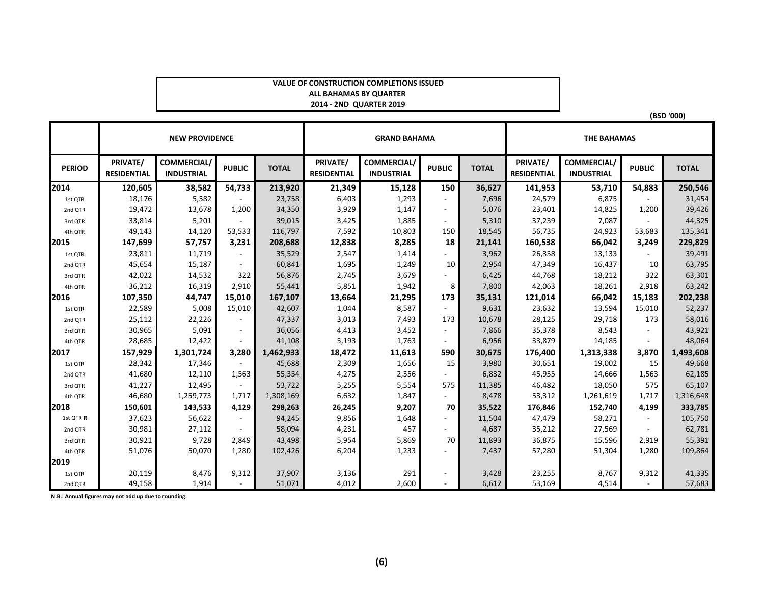#### **VALUE OF CONSTRUCTION COMPLETIONS ISSUEDALL BAHAMAS BY QUARTER 2014 - 2ND QUARTER 2019**

|               |                                | <b>NEW PROVIDENCE</b>                  |                |              |                                | <b>GRAND BAHAMA</b>                    |               |              | <b>THE BAHAMAS</b>             |                                  |                          |              |
|---------------|--------------------------------|----------------------------------------|----------------|--------------|--------------------------------|----------------------------------------|---------------|--------------|--------------------------------|----------------------------------|--------------------------|--------------|
| <b>PERIOD</b> | PRIVATE/<br><b>RESIDENTIAL</b> | <b>COMMERCIAL</b><br><b>INDUSTRIAL</b> | <b>PUBLIC</b>  | <b>TOTAL</b> | PRIVATE/<br><b>RESIDENTIAL</b> | <b>COMMERCIAL</b><br><b>INDUSTRIAL</b> | <b>PUBLIC</b> | <b>TOTAL</b> | PRIVATE/<br><b>RESIDENTIAL</b> | COMMERCIAL/<br><b>INDUSTRIAL</b> | <b>PUBLIC</b>            | <b>TOTAL</b> |
| 2014          | 120,605                        | 38,582                                 | 54,733         | 213,920      | 21,349                         | 15,128                                 | 150           | 36,627       | 141,953                        | 53,710                           | 54,883                   | 250,546      |
| 1st OTR       | 18,176                         | 5,582                                  |                | 23,758       | 6,403                          | 1,293                                  |               | 7,696        | 24,579                         | 6,875                            |                          | 31,454       |
| 2nd QTR       | 19,472                         | 13,678                                 | 1,200          | 34,350       | 3,929                          | 1,147                                  |               | 5,076        | 23,401                         | 14,825                           | 1,200                    | 39,426       |
| 3rd QTR       | 33,814                         | 5,201                                  |                | 39,015       | 3,425                          | 1,885                                  |               | 5,310        | 37,239                         | 7,087                            |                          | 44,325       |
| 4th QTR       | 49,143                         | 14,120                                 | 53,533         | 116,797      | 7,592                          | 10,803                                 | 150           | 18,545       | 56,735                         | 24,923                           | 53,683                   | 135,341      |
| 2015          | 147,699                        | 57,757                                 | 3,231          | 208,688      | 12,838                         | 8,285                                  | 18            | 21,141       | 160,538                        | 66,042                           | 3,249                    | 229,829      |
| 1st QTR       | 23,811                         | 11,719                                 |                | 35,529       | 2,547                          | 1,414                                  |               | 3,962        | 26,358                         | 13,133                           |                          | 39,491       |
| 2nd QTR       | 45,654                         | 15,187                                 |                | 60,841       | 1,695                          | 1,249                                  | 10            | 2,954        | 47,349                         | 16,437                           | 10                       | 63,795       |
| 3rd QTR       | 42,022                         | 14,532                                 | 322            | 56,876       | 2,745                          | 3,679                                  |               | 6,425        | 44,768                         | 18,212                           | 322                      | 63,301       |
| 4th QTR       | 36,212                         | 16,319                                 | 2,910          | 55,441       | 5,851                          | 1,942                                  | 8             | 7,800        | 42,063                         | 18,261                           | 2,918                    | 63,242       |
| 2016          | 107,350                        | 44,747                                 | 15,010         | 167,107      | 13,664                         | 21,295                                 | 173           | 35,131       | 121,014                        | 66,042                           | 15,183                   | 202,238      |
| 1st QTR       | 22,589                         | 5,008                                  | 15,010         | 42,607       | 1,044                          | 8,587                                  |               | 9,631        | 23,632                         | 13,594                           | 15,010                   | 52,237       |
| 2nd QTR       | 25,112                         | 22,226                                 |                | 47,337       | 3,013                          | 7,493                                  | 173           | 10,678       | 28,125                         | 29,718                           | 173                      | 58,016       |
| 3rd QTR       | 30,965                         | 5,091                                  | $\blacksquare$ | 36,056       | 4,413                          | 3,452                                  | $\sim$        | 7,866        | 35,378                         | 8,543                            |                          | 43,921       |
| 4th QTR       | 28,685                         | 12,422                                 |                | 41,108       | 5,193                          | 1,763                                  |               | 6,956        | 33,879                         | 14,185                           |                          | 48,064       |
| 2017          | 157,929                        | 1,301,724                              | 3.280          | 1,462,933    | 18,472                         | 11,613                                 | 590           | 30,675       | 176,400                        | 1,313,338                        | 3,870                    | 1,493,608    |
| 1st QTR       | 28,342                         | 17,346                                 |                | 45,688       | 2,309                          | 1,656                                  | 15            | 3,980        | 30,651                         | 19,002                           | 15                       | 49,668       |
| 2nd QTR       | 41,680                         | 12,110                                 | 1,563          | 55,354       | 4,275                          | 2,556                                  |               | 6,832        | 45,955                         | 14,666                           | 1,563                    | 62,185       |
| 3rd QTR       | 41,227                         | 12,495                                 |                | 53,722       | 5,255                          | 5,554                                  | 575           | 11,385       | 46,482                         | 18,050                           | 575                      | 65,107       |
| 4th QTR       | 46,680                         | 1,259,773                              | 1,717          | 1,308,169    | 6,632                          | 1,847                                  | $\sim$        | 8,478        | 53,312                         | 1,261,619                        | 1,717                    | 1,316,648    |
| 2018          | 150,601                        | 143,533                                | 4,129          | 298,263      | 26,245                         | 9,207                                  | 70            | 35,522       | 176,846                        | 152,740                          | 4,199                    | 333,785      |
| 1st QTR R     | 37,623                         | 56,622                                 |                | 94,245       | 9,856                          | 1,648                                  |               | 11,504       | 47,479                         | 58,271                           | $\overline{\phantom{a}}$ | 105,750      |
| 2nd QTR       | 30,981                         | 27,112                                 |                | 58,094       | 4,231                          | 457                                    |               | 4,687        | 35,212                         | 27,569                           |                          | 62,781       |
| 3rd QTR       | 30,921                         | 9,728                                  | 2,849          | 43,498       | 5,954                          | 5,869                                  | 70            | 11,893       | 36,875                         | 15,596                           | 2,919                    | 55,391       |
| 4th QTR       | 51,076                         | 50,070                                 | 1,280          | 102,426      | 6,204                          | 1,233                                  |               | 7,437        | 57,280                         | 51,304                           | 1,280                    | 109,864      |
| 2019          |                                |                                        |                |              |                                |                                        |               |              |                                |                                  |                          |              |
| 1st QTR       | 20,119                         | 8,476                                  | 9,312          | 37,907       | 3,136                          | 291                                    |               | 3,428        | 23,255                         | 8,767                            | 9,312                    | 41,335       |
| 2nd QTR       | 49,158                         | 1,914                                  |                | 51,071       | 4,012                          | 2,600                                  |               | 6,612        | 53,169                         | 4,514                            |                          | 57,683       |

**(BSD '000)**

**N.B.: Annual figures may not add up due to rounding.**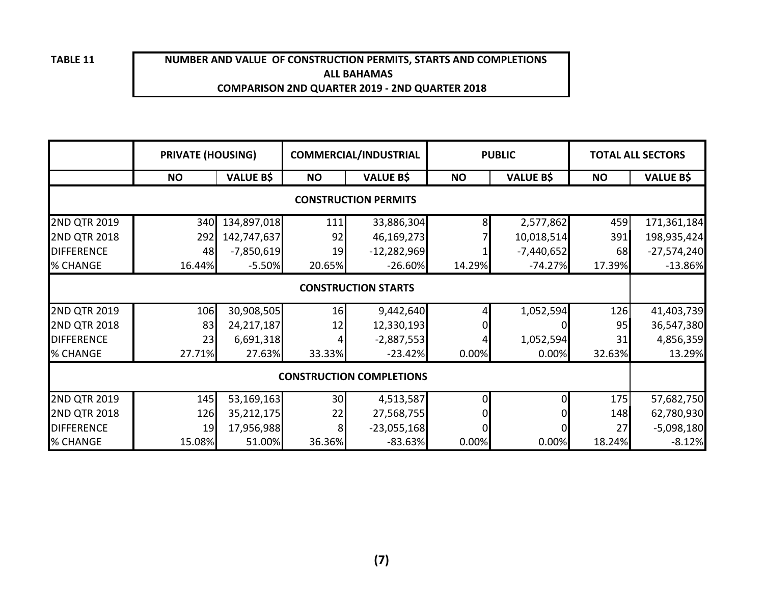**TABLE 11**

#### **NUMBER AND VALUE OF CONSTRUCTION PERMITS, STARTS AND COMPLETIONS ALL BAHAMASCOMPARISON 2ND QUARTER 2019 - 2ND QUARTER 2018**

|                     | <b>PRIVATE (HOUSING)</b> |                  |           | <b>COMMERCIAL/INDUSTRIAL</b>    |           | <b>PUBLIC</b>    | <b>TOTAL ALL SECTORS</b> |                  |  |
|---------------------|--------------------------|------------------|-----------|---------------------------------|-----------|------------------|--------------------------|------------------|--|
|                     | <b>NO</b>                | <b>VALUE B\$</b> | <b>NO</b> | <b>VALUE B\$</b>                | <b>NO</b> | <b>VALUE B\$</b> | <b>NO</b>                | <b>VALUE B\$</b> |  |
|                     |                          |                  |           | <b>CONSTRUCTION PERMITS</b>     |           |                  |                          |                  |  |
| 2ND QTR 2019        | 340                      | 134,897,018      | 111       | 33,886,304                      | 8         | 2,577,862        | 459                      | 171,361,184      |  |
| <b>2ND QTR 2018</b> | 292                      | 142,747,637      | 92        | 46,169,273                      |           | 10,018,514       | 391                      | 198,935,424      |  |
| <b>DIFFERENCE</b>   | 48                       | $-7,850,619$     | 19        | $-12,282,969$                   |           | $-7,440,652$     | 68                       | $-27,574,240$    |  |
| % CHANGE            | 16.44%                   | $-5.50%$         | 20.65%    | $-26.60%$                       | 14.29%    | $-74.27%$        | 17.39%                   | $-13.86%$        |  |
|                     |                          |                  |           | <b>CONSTRUCTION STARTS</b>      |           |                  |                          |                  |  |
| 2ND QTR 2019        | 106                      | 30,908,505       | 16        | 9,442,640                       |           | 1,052,594        | 126                      | 41,403,739       |  |
| <b>2ND QTR 2018</b> | 83                       | 24, 217, 187     | 12        | 12,330,193                      |           |                  | 95                       | 36,547,380       |  |
| <b>DIFFERENCE</b>   | 23                       | 6,691,318        |           | $-2,887,553$                    |           | 1,052,594        | 31                       | 4,856,359        |  |
| % CHANGE            | 27.71%                   | 27.63%           | 33.33%    | $-23.42%$                       | 0.00%     | 0.00%            | 32.63%                   | 13.29%           |  |
|                     |                          |                  |           | <b>CONSTRUCTION COMPLETIONS</b> |           |                  |                          |                  |  |
| 2ND QTR 2019        | 145                      | 53,169,163       | 30        | 4,513,587                       | $\Omega$  | O                | 175                      | 57,682,750       |  |
| <b>2ND QTR 2018</b> | 126                      | 35,212,175       | 22        | 27,568,755                      |           |                  | 148                      | 62,780,930       |  |
| <b>DIFFERENCE</b>   | 19                       | 17,956,988       | 8         | $-23,055,168$                   |           |                  | 27                       | $-5,098,180$     |  |
| % CHANGE            | 15.08%                   | 51.00%           | 36.36%    | $-83.63%$                       | 0.00%     | 0.00%            | 18.24%                   | $-8.12%$         |  |